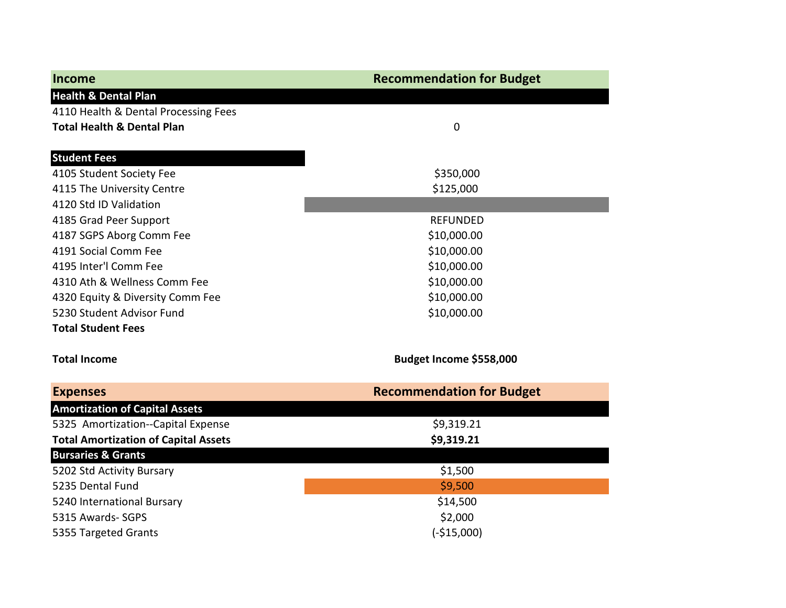| Income                                      | <b>Recommendation for Budget</b> |
|---------------------------------------------|----------------------------------|
| <b>Health &amp; Dental Plan</b>             |                                  |
| 4110 Health & Dental Processing Fees        |                                  |
| <b>Total Health &amp; Dental Plan</b>       | $\mathbf 0$                      |
|                                             |                                  |
| <b>Student Fees</b>                         |                                  |
| 4105 Student Society Fee                    | \$350,000                        |
| 4115 The University Centre                  | \$125,000                        |
| 4120 Std ID Validation                      |                                  |
| 4185 Grad Peer Support                      | <b>REFUNDED</b>                  |
| 4187 SGPS Aborg Comm Fee                    | \$10,000.00                      |
| 4191 Social Comm Fee                        | \$10,000.00                      |
| 4195 Inter'l Comm Fee                       | \$10,000.00                      |
| 4310 Ath & Wellness Comm Fee                | \$10,000.00                      |
| 4320 Equity & Diversity Comm Fee            | \$10,000.00                      |
| 5230 Student Advisor Fund                   | \$10,000.00                      |
| <b>Total Student Fees</b>                   |                                  |
| <b>Total Income</b>                         | Budget Income \$558,000          |
| <b>Expenses</b>                             | <b>Recommendation for Budget</b> |
| <b>Amortization of Capital Assets</b>       |                                  |
| 5325 Amortization--Capital Expense          | \$9,319.21                       |
| <b>Total Amortization of Capital Assets</b> | \$9,319.21                       |
| <b>Bursaries &amp; Grants</b>               |                                  |
| 5202 Std Activity Bursary                   | \$1,500                          |
| 5235 Dental Fund                            | \$9,500                          |
| 5240 International Bursary                  | \$14,500                         |
| 5315 Awards- SGPS                           | \$2,000                          |
| 5355 Targeted Grants                        | $(-$15,000)$                     |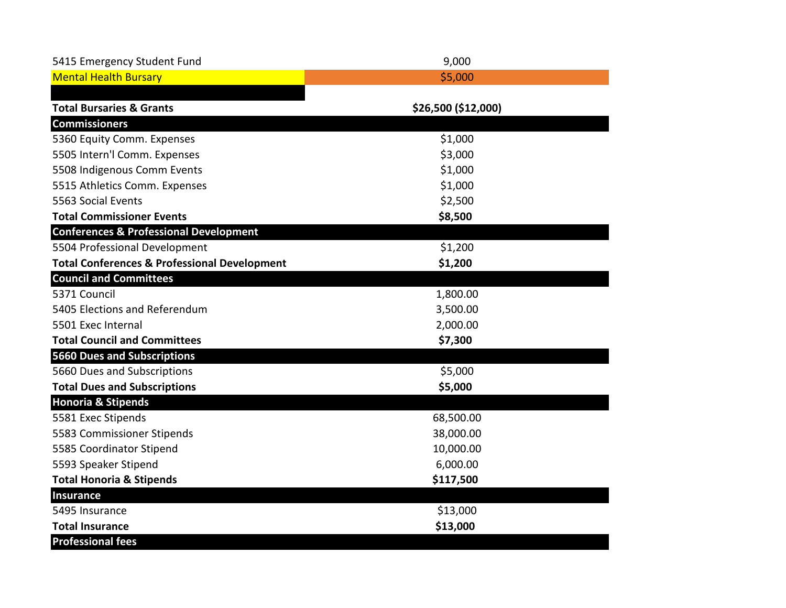| 5415 Emergency Student Fund                             | 9,000               |
|---------------------------------------------------------|---------------------|
| <b>Mental Health Bursary</b>                            | \$5,000             |
|                                                         |                     |
| <b>Total Bursaries &amp; Grants</b>                     | \$26,500 (\$12,000) |
| <b>Commissioners</b>                                    |                     |
| 5360 Equity Comm. Expenses                              | \$1,000             |
| 5505 Intern'l Comm. Expenses                            | \$3,000             |
| 5508 Indigenous Comm Events                             | \$1,000             |
| 5515 Athletics Comm. Expenses                           | \$1,000             |
| 5563 Social Events                                      | \$2,500             |
| <b>Total Commissioner Events</b>                        | \$8,500             |
| <b>Conferences &amp; Professional Development</b>       |                     |
| 5504 Professional Development                           | \$1,200             |
| <b>Total Conferences &amp; Professional Development</b> | \$1,200             |
| <b>Council and Committees</b>                           |                     |
| 5371 Council                                            | 1,800.00            |
| 5405 Elections and Referendum                           | 3,500.00            |
| 5501 Exec Internal                                      | 2,000.00            |
| <b>Total Council and Committees</b>                     | \$7,300             |
| <b>5660 Dues and Subscriptions</b>                      |                     |
| 5660 Dues and Subscriptions                             | \$5,000             |
| <b>Total Dues and Subscriptions</b>                     | \$5,000             |
| <b>Honoria &amp; Stipends</b>                           |                     |
| 5581 Exec Stipends                                      | 68,500.00           |
| 5583 Commissioner Stipends                              | 38,000.00           |
| 5585 Coordinator Stipend                                | 10,000.00           |
| 5593 Speaker Stipend                                    | 6,000.00            |
| <b>Total Honoria &amp; Stipends</b>                     | \$117,500           |
| <b>Insurance</b>                                        |                     |
| 5495 Insurance                                          | \$13,000            |
| <b>Total Insurance</b>                                  | \$13,000            |
| <b>Professional fees</b>                                |                     |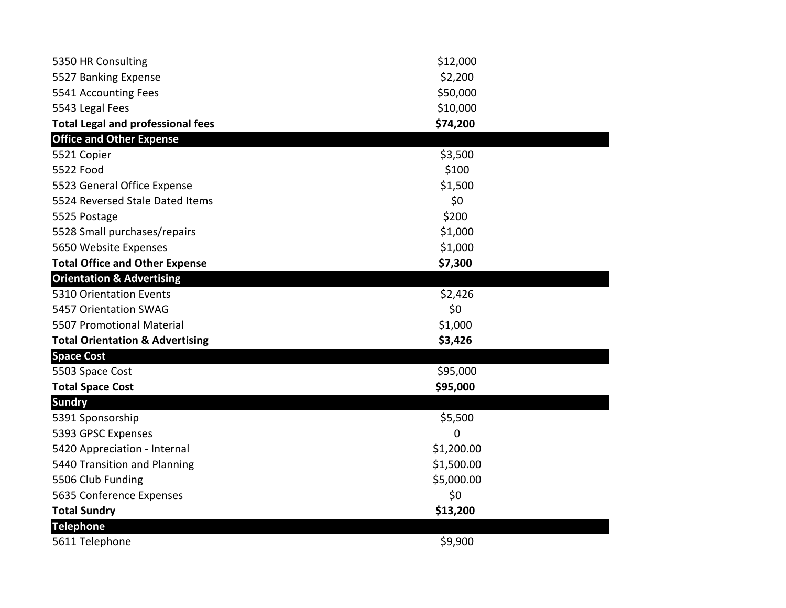| 5350 HR Consulting                         | \$12,000   |
|--------------------------------------------|------------|
| 5527 Banking Expense                       | \$2,200    |
| 5541 Accounting Fees                       | \$50,000   |
| 5543 Legal Fees                            | \$10,000   |
| <b>Total Legal and professional fees</b>   | \$74,200   |
| <b>Office and Other Expense</b>            |            |
| 5521 Copier                                | \$3,500    |
| 5522 Food                                  | \$100      |
| 5523 General Office Expense                | \$1,500    |
| 5524 Reversed Stale Dated Items            | \$0        |
| 5525 Postage                               | \$200      |
| 5528 Small purchases/repairs               | \$1,000    |
| 5650 Website Expenses                      | \$1,000    |
| <b>Total Office and Other Expense</b>      | \$7,300    |
| <b>Orientation &amp; Advertising</b>       |            |
| 5310 Orientation Events                    | \$2,426    |
| 5457 Orientation SWAG                      | \$0        |
| 5507 Promotional Material                  | \$1,000    |
| <b>Total Orientation &amp; Advertising</b> | \$3,426    |
| <b>Space Cost</b>                          |            |
| 5503 Space Cost                            | \$95,000   |
| <b>Total Space Cost</b>                    | \$95,000   |
| <b>Sundry</b>                              |            |
| 5391 Sponsorship                           | \$5,500    |
| 5393 GPSC Expenses                         | 0          |
| 5420 Appreciation - Internal               | \$1,200.00 |
| 5440 Transition and Planning               | \$1,500.00 |
| 5506 Club Funding                          | \$5,000.00 |
| 5635 Conference Expenses                   | \$0        |
| <b>Total Sundry</b>                        | \$13,200   |
| <b>Telephone</b>                           |            |
| 5611 Telephone                             | \$9,900    |